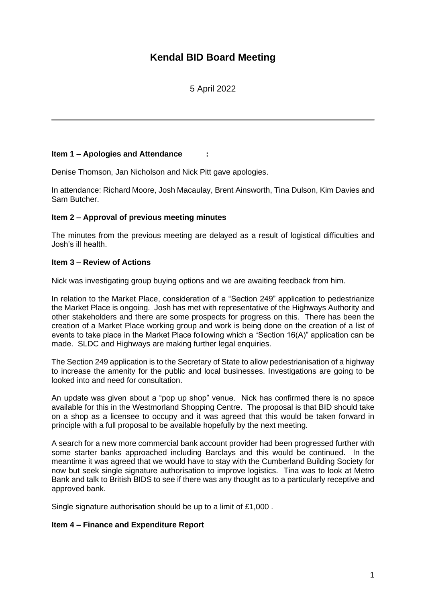# **Kendal BID Board Meeting**

# 5 April 2022

## **Item 1 – Apologies and Attendance :**

Denise Thomson, Jan Nicholson and Nick Pitt gave apologies.

In attendance: Richard Moore, Josh Macaulay, Brent Ainsworth, Tina Dulson, Kim Davies and Sam Butcher.

#### **Item 2 – Approval of previous meeting minutes**

The minutes from the previous meeting are delayed as a result of logistical difficulties and Josh's ill health.

### **Item 3 – Review of Actions**

Nick was investigating group buying options and we are awaiting feedback from him.

In relation to the Market Place, consideration of a "Section 249" application to pedestrianize the Market Place is ongoing. Josh has met with representative of the Highways Authority and other stakeholders and there are some prospects for progress on this. There has been the creation of a Market Place working group and work is being done on the creation of a list of events to take place in the Market Place following which a "Section 16(A)" application can be made. SLDC and Highways are making further legal enquiries.

The Section 249 application is to the Secretary of State to allow pedestrianisation of a highway to increase the amenity for the public and local businesses. Investigations are going to be looked into and need for consultation.

An update was given about a "pop up shop" venue. Nick has confirmed there is no space available for this in the Westmorland Shopping Centre. The proposal is that BID should take on a shop as a licensee to occupy and it was agreed that this would be taken forward in principle with a full proposal to be available hopefully by the next meeting.

A search for a new more commercial bank account provider had been progressed further with some starter banks approached including Barclays and this would be continued. In the meantime it was agreed that we would have to stay with the Cumberland Building Society for now but seek single signature authorisation to improve logistics. Tina was to look at Metro Bank and talk to British BIDS to see if there was any thought as to a particularly receptive and approved bank.

Single signature authorisation should be up to a limit of £1,000 .

## **Item 4 – Finance and Expenditure Report**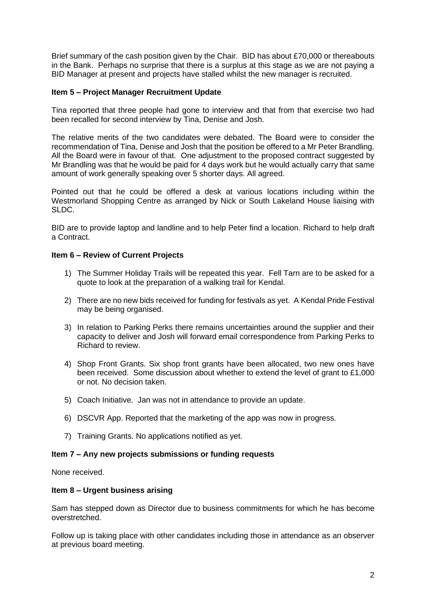Brief summary of the cash position given by the Chair. BID has about £70,000 or thereabouts in the Bank. Perhaps no surprise that there is a surplus at this stage as we are not paying a BID Manager at present and projects have stalled whilst the new manager is recruited.

## **Item 5 – Project Manager Recruitment Update**

Tina reported that three people had gone to interview and that from that exercise two had been recalled for second interview by Tina, Denise and Josh.

The relative merits of the two candidates were debated. The Board were to consider the recommendation of Tina, Denise and Josh that the position be offered to a Mr Peter Brandling. All the Board were in favour of that. One adjustment to the proposed contract suggested by Mr Brandling was that he would be paid for 4 days work but he would actually carry that same amount of work generally speaking over 5 shorter days. All agreed.

Pointed out that he could be offered a desk at various locations including within the Westmorland Shopping Centre as arranged by Nick or South Lakeland House liaising with SLDC.

BID are to provide laptop and landline and to help Peter find a location. Richard to help draft a Contract.

#### **Item 6 – Review of Current Projects**

- 1) The Summer Holiday Trails will be repeated this year. Fell Tarn are to be asked for a quote to look at the preparation of a walking trail for Kendal.
- 2) There are no new bids received for funding for festivals as yet. A Kendal Pride Festival may be being organised.
- 3) In relation to Parking Perks there remains uncertainties around the supplier and their capacity to deliver and Josh will forward email correspondence from Parking Perks to Richard to review.
- 4) Shop Front Grants. Six shop front grants have been allocated, two new ones have been received. Some discussion about whether to extend the level of grant to £1,000 or not. No decision taken.
- 5) Coach Initiative. Jan was not in attendance to provide an update.
- 6) DSCVR App. Reported that the marketing of the app was now in progress.
- 7) Training Grants. No applications notified as yet.

#### **Item 7 – Any new projects submissions or funding requests**

None received.

#### **Item 8 – Urgent business arising**

Sam has stepped down as Director due to business commitments for which he has become overstretched.

Follow up is taking place with other candidates including those in attendance as an observer at previous board meeting.